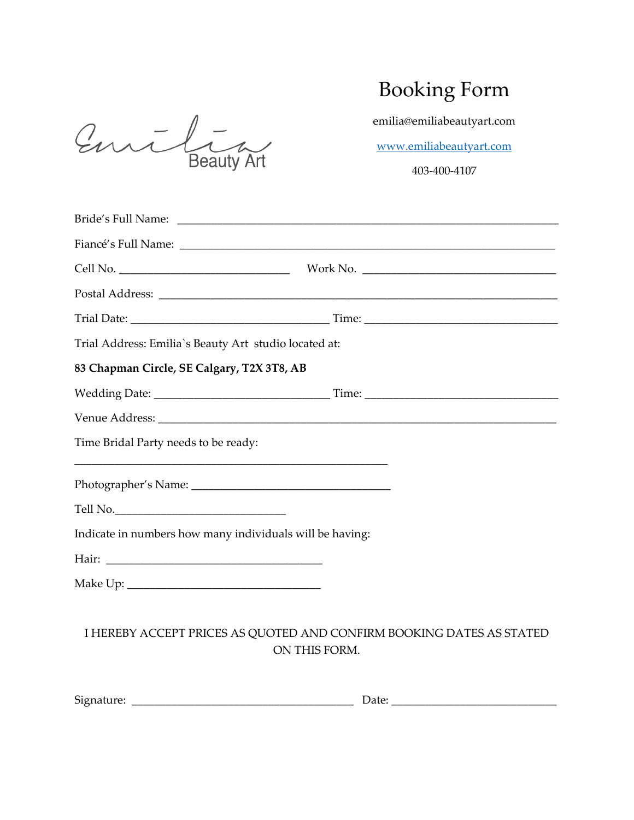| annin             |  |
|-------------------|--|
| <b>Beauty Art</b> |  |

## Booking Form

emilia@emiliabeautyart.com

[www.emiliabeautyart.com](http://www.emiliabeautyart.com/)

403-400-4107

| Trial Address: Emilia's Beauty Art studio located at:                                                                                                         |                                                                                       |
|---------------------------------------------------------------------------------------------------------------------------------------------------------------|---------------------------------------------------------------------------------------|
| 83 Chapman Circle, SE Calgary, T2X 3T8, AB                                                                                                                    |                                                                                       |
|                                                                                                                                                               |                                                                                       |
|                                                                                                                                                               |                                                                                       |
| Time Bridal Party needs to be ready:<br><u> 1989 - Johann Stoff, deutscher Stoff, der Stoff, der Stoff, der Stoff, der Stoff, der Stoff, der Stoff, der S</u> |                                                                                       |
|                                                                                                                                                               |                                                                                       |
| Tell No.                                                                                                                                                      |                                                                                       |
| Indicate in numbers how many individuals will be having:                                                                                                      |                                                                                       |
|                                                                                                                                                               |                                                                                       |
|                                                                                                                                                               |                                                                                       |
|                                                                                                                                                               | I HEREBY ACCEPT PRICES AS QUOTED AND CONFIRM BOOKING DATES AS STATED<br>ON THIS FORM. |

| r.<br>512r<br>. | 74 I H<br>. |  |
|-----------------|-------------|--|
|                 |             |  |